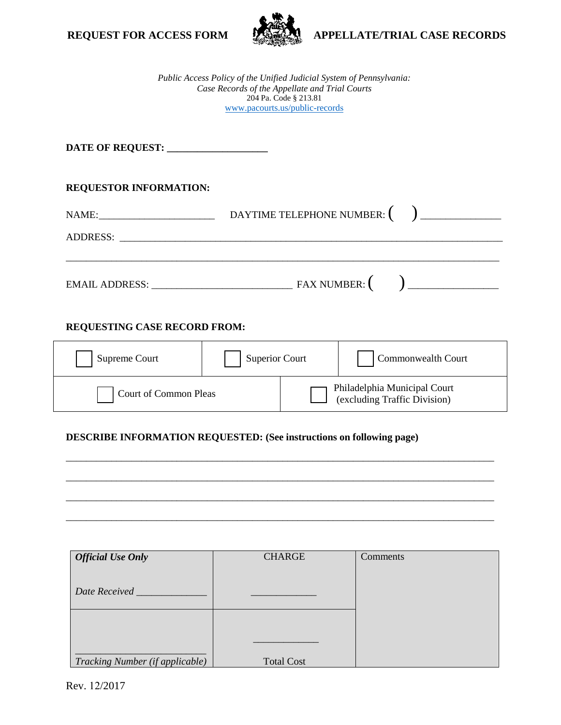



**REQUEST FOR ACCESS FORM <b>APPELLATE/TRIAL CASE RECORDS** 

*Public Access Policy of the Unified Judicial System of Pennsylvania: Case Records of the Appellate and Trial Courts*  204 Pa. Code § 213.81 [www.pacourts.us/public-record](http://www.pacourts.us/public-record-policies)s

**DATE OF REQUEST: \_\_\_\_\_\_\_\_\_\_\_\_\_\_\_\_\_\_\_\_** 

# **REQUESTOR INFORMATION:**

| NAME:                 | DAYTIME TELEPHONE NUMBER: ( |  |
|-----------------------|-----------------------------|--|
| <b>ADDRESS:</b>       |                             |  |
|                       |                             |  |
| <b>EMAIL ADDRESS:</b> | FAX NUMBER: (               |  |

# **REQUESTING CASE RECORD FROM:**

| Supreme Court         | <b>Superior Court</b> | Commonwealth Court                                           |
|-----------------------|-----------------------|--------------------------------------------------------------|
| Court of Common Pleas |                       | Philadelphia Municipal Court<br>(excluding Traffic Division) |

\_\_\_\_\_\_\_\_\_\_\_\_\_\_\_\_\_\_\_\_\_\_\_\_\_\_\_\_\_\_\_\_\_\_\_\_\_\_\_\_\_\_\_\_\_\_\_\_\_\_\_\_\_\_\_\_\_\_\_\_\_\_\_\_\_\_\_\_\_\_\_\_\_\_\_\_\_\_\_\_\_\_\_\_\_

\_\_\_\_\_\_\_\_\_\_\_\_\_\_\_\_\_\_\_\_\_\_\_\_\_\_\_\_\_\_\_\_\_\_\_\_\_\_\_\_\_\_\_\_\_\_\_\_\_\_\_\_\_\_\_\_\_\_\_\_\_\_\_\_\_\_\_\_\_\_\_\_\_\_\_\_\_\_\_\_\_\_\_\_\_

\_\_\_\_\_\_\_\_\_\_\_\_\_\_\_\_\_\_\_\_\_\_\_\_\_\_\_\_\_\_\_\_\_\_\_\_\_\_\_\_\_\_\_\_\_\_\_\_\_\_\_\_\_\_\_\_\_\_\_\_\_\_\_\_\_\_\_\_\_\_\_\_\_\_\_\_\_\_\_\_\_\_\_\_\_

\_\_\_\_\_\_\_\_\_\_\_\_\_\_\_\_\_\_\_\_\_\_\_\_\_\_\_\_\_\_\_\_\_\_\_\_\_\_\_\_\_\_\_\_\_\_\_\_\_\_\_\_\_\_\_\_\_\_\_\_\_\_\_\_\_\_\_\_\_\_\_\_\_\_\_\_\_\_\_\_\_\_\_\_\_

## **DESCRIBE INFORMATION REQUESTED: (See instructions on following page)**

| <b>Official Use Only</b>        | <b>CHARGE</b>     | Comments |
|---------------------------------|-------------------|----------|
| Date Received                   |                   |          |
|                                 |                   |          |
| Tracking Number (if applicable) | <b>Total Cost</b> |          |